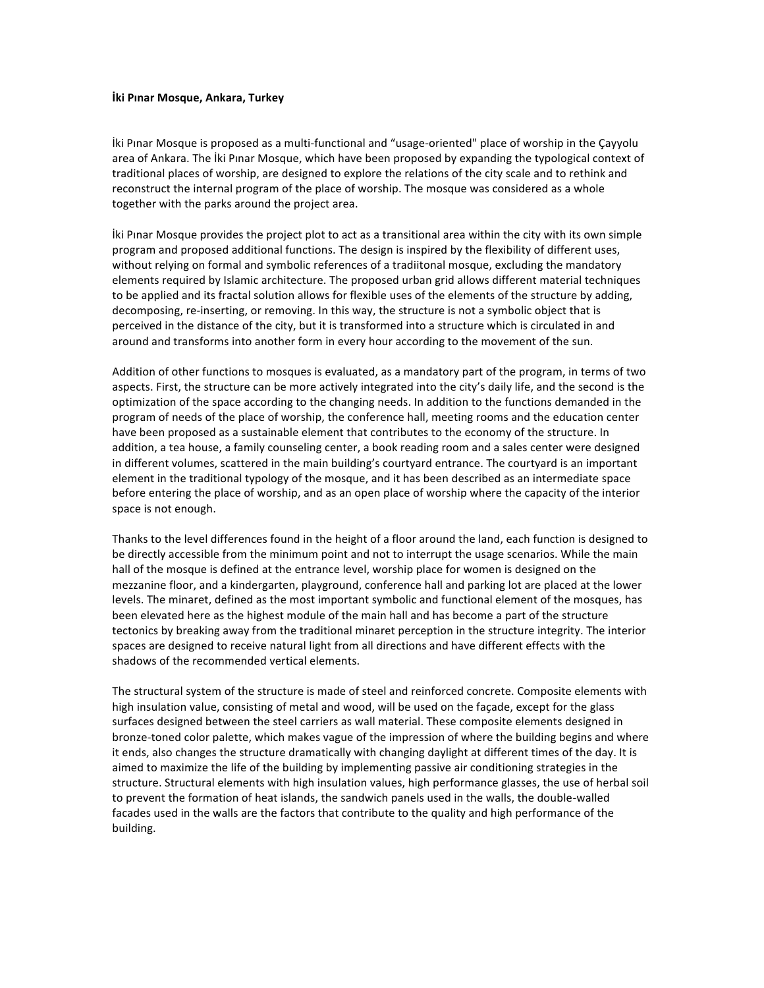## **İki Pınar Mosque, Ankara, Turkey**

Iki Pinar Mosque is proposed as a multi-functional and "usage-oriented" place of worship in the Çayyolu area of Ankara. The İki Pınar Mosque, which have been proposed by expanding the typological context of traditional places of worship, are designed to explore the relations of the city scale and to rethink and reconstruct the internal program of the place of worship. The mosque was considered as a whole together with the parks around the project area.

Iki Pinar Mosque provides the project plot to act as a transitional area within the city with its own simple program and proposed additional functions. The design is inspired by the flexibility of different uses, without relying on formal and symbolic references of a tradiitonal mosque, excluding the mandatory elements required by Islamic architecture. The proposed urban grid allows different material techniques to be applied and its fractal solution allows for flexible uses of the elements of the structure by adding, decomposing, re-inserting, or removing. In this way, the structure is not a symbolic object that is perceived in the distance of the city, but it is transformed into a structure which is circulated in and around and transforms into another form in every hour according to the movement of the sun.

Addition of other functions to mosques is evaluated, as a mandatory part of the program, in terms of two aspects. First, the structure can be more actively integrated into the city's daily life, and the second is the optimization of the space according to the changing needs. In addition to the functions demanded in the program of needs of the place of worship, the conference hall, meeting rooms and the education center have been proposed as a sustainable element that contributes to the economy of the structure. In addition, a tea house, a family counseling center, a book reading room and a sales center were designed in different volumes, scattered in the main building's courtyard entrance. The courtyard is an important element in the traditional typology of the mosque, and it has been described as an intermediate space before entering the place of worship, and as an open place of worship where the capacity of the interior space is not enough.

Thanks to the level differences found in the height of a floor around the land, each function is designed to be directly accessible from the minimum point and not to interrupt the usage scenarios. While the main hall of the mosque is defined at the entrance level, worship place for women is designed on the mezzanine floor, and a kindergarten, playground, conference hall and parking lot are placed at the lower levels. The minaret, defined as the most important symbolic and functional element of the mosques, has been elevated here as the highest module of the main hall and has become a part of the structure tectonics by breaking away from the traditional minaret perception in the structure integrity. The interior spaces are designed to receive natural light from all directions and have different effects with the shadows of the recommended vertical elements.

The structural system of the structure is made of steel and reinforced concrete. Composite elements with high insulation value, consisting of metal and wood, will be used on the façade, except for the glass surfaces designed between the steel carriers as wall material. These composite elements designed in bronze-toned color palette, which makes vague of the impression of where the building begins and where it ends, also changes the structure dramatically with changing daylight at different times of the day. It is aimed to maximize the life of the building by implementing passive air conditioning strategies in the structure. Structural elements with high insulation values, high performance glasses, the use of herbal soil to prevent the formation of heat islands, the sandwich panels used in the walls, the double-walled facades used in the walls are the factors that contribute to the quality and high performance of the building.